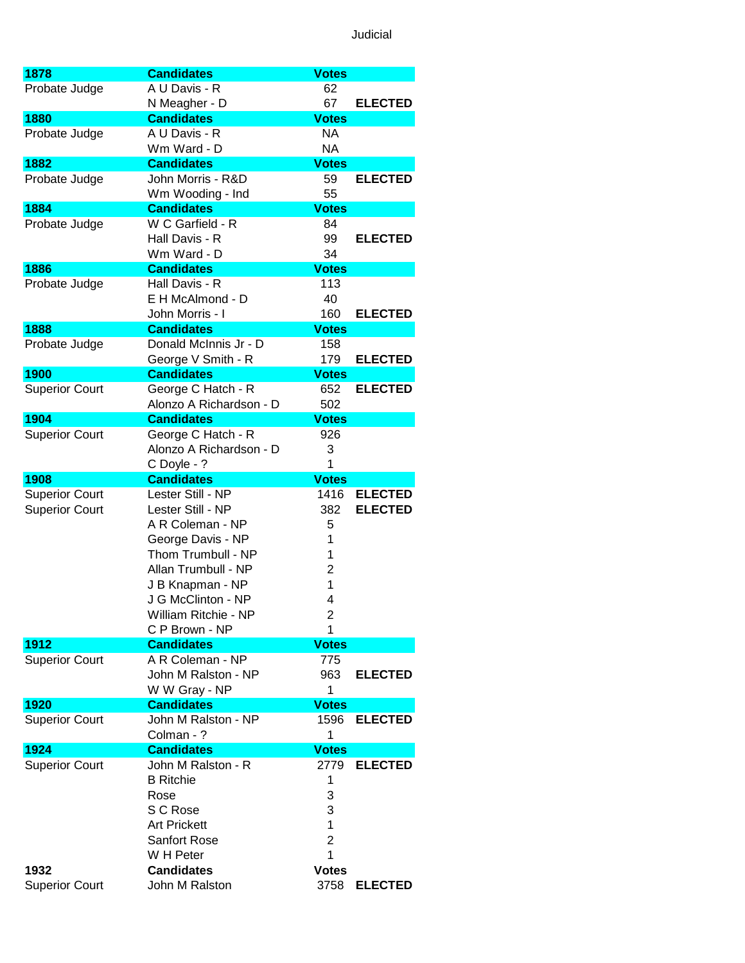| 1878                  | <b>Candidates</b>                      | <b>Votes</b>            |                |
|-----------------------|----------------------------------------|-------------------------|----------------|
| Probate Judge         | A U Davis - R                          | 62                      |                |
|                       | N Meagher - D                          | 67                      | <b>ELECTED</b> |
| 1880                  | <b>Candidates</b>                      | <b>Votes</b>            |                |
| Probate Judge         | A U Davis - R                          | NA                      |                |
|                       | Wm Ward - D                            | <b>NA</b>               |                |
| 1882                  | <b>Candidates</b>                      | <b>Votes</b>            |                |
| Probate Judge         | John Morris - R&D                      | 59                      | <b>ELECTED</b> |
|                       |                                        |                         |                |
|                       | Wm Wooding - Ind                       | 55                      |                |
| 1884                  | <b>Candidates</b>                      | <b>Votes</b>            |                |
| Probate Judge         | W C Garfield - R                       | 84                      |                |
|                       | Hall Davis - R                         | 99                      | <b>ELECTED</b> |
|                       | Wm Ward - D                            | 34                      |                |
| 1886                  | <b>Candidates</b>                      | <b>Votes</b>            |                |
| Probate Judge         | Hall Davis - R                         | 113                     |                |
|                       | E H McAlmond - D                       | 40                      |                |
|                       | John Morris - I                        | 160                     | <b>ELECTED</b> |
| 1888                  | <b>Candidates</b>                      | <b>Votes</b>            |                |
| Probate Judge         | Donald McInnis Jr - D                  | 158                     |                |
|                       | George V Smith - R                     | 179                     | <b>ELECTED</b> |
| 1900                  | <b>Candidates</b>                      | <b>Votes</b>            |                |
| <b>Superior Court</b> | George C Hatch - R                     | 652                     | <b>ELECTED</b> |
|                       | Alonzo A Richardson - D                | 502                     |                |
| 1904                  | <b>Candidates</b>                      | <b>Votes</b>            |                |
| <b>Superior Court</b> | George C Hatch - R                     | 926                     |                |
|                       |                                        |                         |                |
|                       | Alonzo A Richardson - D                | 3                       |                |
|                       | C Doyle - ?                            | 1                       |                |
| 1908                  | <b>Candidates</b>                      | <b>Votes</b>            |                |
|                       |                                        |                         |                |
| <b>Superior Court</b> | Lester Still - NP                      | 1416                    | <b>ELECTED</b> |
| <b>Superior Court</b> | Lester Still - NP                      | 382                     | <b>ELECTED</b> |
|                       | A R Coleman - NP                       | 5                       |                |
|                       | George Davis - NP                      | 1                       |                |
|                       | Thom Trumbull - NP                     | 1                       |                |
|                       | Allan Trumbull - NP                    | 2                       |                |
|                       |                                        | 1                       |                |
|                       | J B Knapman - NP<br>J G McClinton - NP | 4                       |                |
|                       | William Ritchie - NP                   | 2                       |                |
|                       | C P Brown - NP                         | 1                       |                |
| 1912                  |                                        | <b>Votes</b>            |                |
|                       | <b>Candidates</b>                      | 775                     |                |
| <b>Superior Court</b> | A R Coleman - NP                       |                         |                |
|                       | John M Ralston - NP                    | 963                     | <b>ELECTED</b> |
|                       | W W Gray - NP                          | 1                       |                |
| 1920                  | <b>Candidates</b>                      | <b>Votes</b>            |                |
| <b>Superior Court</b> | John M Ralston - NP                    | 1596                    | <b>ELECTED</b> |
|                       | Colman - ?                             | 1                       |                |
| 1924                  | <b>Candidates</b>                      | <b>Votes</b>            |                |
| <b>Superior Court</b> | John M Ralston - R                     | 2779                    | <b>ELECTED</b> |
|                       | <b>B</b> Ritchie                       | 1                       |                |
|                       | Rose                                   | 3                       |                |
|                       | S C Rose                               | 3                       |                |
|                       | <b>Art Prickett</b>                    | 1                       |                |
|                       | <b>Sanfort Rose</b>                    | $\overline{\mathbf{c}}$ |                |
|                       | W H Peter                              | 1                       |                |
| 1932                  | <b>Candidates</b>                      | <b>Votes</b>            |                |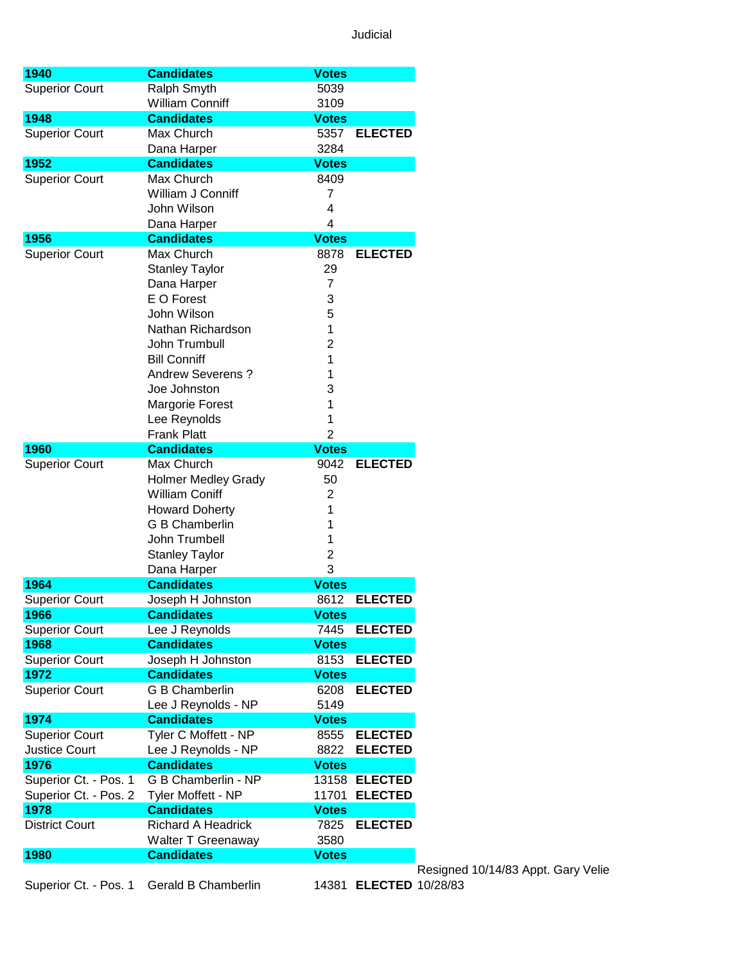Gary Velie

| 1940                  | <b>Candidates</b>          | <b>Votes</b>   |                        |
|-----------------------|----------------------------|----------------|------------------------|
|                       |                            |                |                        |
| <b>Superior Court</b> | Ralph Smyth                | 5039           |                        |
|                       | <b>William Conniff</b>     | 3109           |                        |
| 1948                  | <b>Candidates</b>          | <b>Votes</b>   |                        |
| <b>Superior Court</b> | Max Church                 | 5357           | <b>ELECTED</b>         |
|                       | Dana Harper                | 3284           |                        |
| 1952                  | <b>Candidates</b>          | <b>Votes</b>   |                        |
| <b>Superior Court</b> | Max Church                 | 8409           |                        |
|                       | William J Conniff          | 7              |                        |
|                       | John Wilson                | 4              |                        |
|                       | Dana Harper                | 4              |                        |
| 1956                  | <b>Candidates</b>          | <b>Votes</b>   |                        |
| <b>Superior Court</b> | Max Church                 | 8878           | <b>ELECTED</b>         |
|                       | <b>Stanley Taylor</b>      | 29             |                        |
|                       |                            |                |                        |
|                       | Dana Harper                | 7              |                        |
|                       | E O Forest                 | 3              |                        |
|                       | John Wilson                | 5              |                        |
|                       | Nathan Richardson          | 1              |                        |
|                       | John Trumbull              | 2              |                        |
|                       | <b>Bill Conniff</b>        | 1              |                        |
|                       | <b>Andrew Severens?</b>    | 1              |                        |
|                       | Joe Johnston               | 3              |                        |
|                       | <b>Margorie Forest</b>     | 1              |                        |
|                       | Lee Reynolds               | 1              |                        |
|                       | <b>Frank Platt</b>         | $\overline{2}$ |                        |
| 1960                  | <b>Candidates</b>          | <b>Votes</b>   |                        |
| <b>Superior Court</b> | Max Church                 | 9042           | <b>ELECTED</b>         |
|                       |                            | 50             |                        |
|                       | <b>Holmer Medley Grady</b> |                |                        |
|                       | <b>William Coniff</b>      | $\overline{2}$ |                        |
|                       | <b>Howard Doherty</b>      | 1              |                        |
|                       | G B Chamberlin             | 1              |                        |
|                       | John Trumbell              | 1              |                        |
|                       | <b>Stanley Taylor</b>      | 2              |                        |
|                       | Dana Harper                | 3              |                        |
| 1964                  | <b>Candidates</b>          | <b>Votes</b>   |                        |
| <b>Superior Court</b> | Joseph H Johnston          | 8612           | <b>ELECTED</b>         |
| 1966                  | <b>Candidates</b>          | <b>Votes</b>   |                        |
| <b>Superior Court</b> | Lee J Reynolds             | 7445           | <b>ELECTED</b>         |
| 1968                  | <b>Candidates</b>          | <b>Votes</b>   |                        |
| <b>Superior Court</b> | Joseph H Johnston          | 8153           | <b>ELECTED</b>         |
| 1972                  | <b>Candidates</b>          | <b>Votes</b>   |                        |
| <b>Superior Court</b> | G B Chamberlin             | 6208           | <b>ELECTED</b>         |
|                       |                            |                |                        |
|                       | Lee J Reynolds - NP        | 5149           |                        |
| 1974                  | <b>Candidates</b>          | <b>Votes</b>   |                        |
| <b>Superior Court</b> | Tyler C Moffett - NP       | 8555           | <b>ELECTED</b>         |
| <b>Justice Court</b>  | Lee J Reynolds - NP        | 8822           | <b>ELECTED</b>         |
| 1976                  | <b>Candidates</b>          | <b>Votes</b>   |                        |
| Superior Ct. - Pos. 1 | G B Chamberlin - NP        |                | 13158 ELECTED          |
| Superior Ct. - Pos. 2 | Tyler Moffett - NP         | 11701          | <b>ELECTED</b>         |
| 1978                  | <b>Candidates</b>          | <b>Votes</b>   |                        |
| <b>District Court</b> | <b>Richard A Headrick</b>  | 7825           | <b>ELECTED</b>         |
|                       | Walter T Greenaway         | 3580           |                        |
|                       |                            |                |                        |
| 1980                  | <b>Candidates</b>          | <b>Votes</b>   |                        |
|                       |                            |                |                        |
| Superior Ct. - Pos. 1 | Gerald B Chamberlin        |                | 14381 ELECTED 10/28/83 |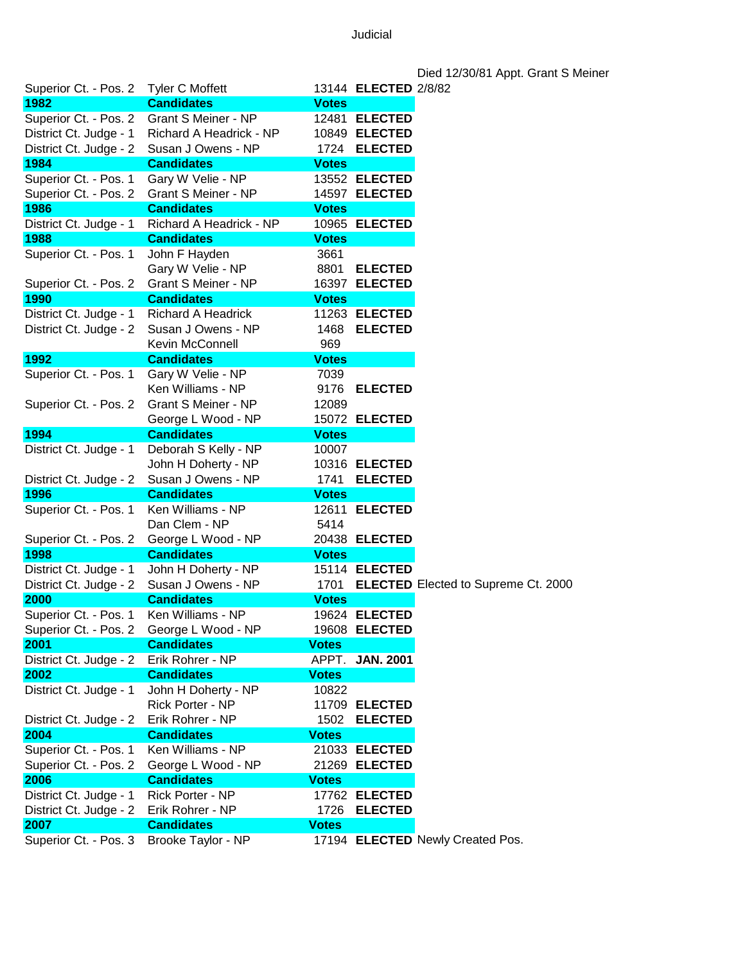|                        |                            |              |                      | Died 12/30/81 Appt. Grant S Meiner         |
|------------------------|----------------------------|--------------|----------------------|--------------------------------------------|
| Superior Ct. - Pos. 2  | Tyler C Moffett            |              | 13144 ELECTED 2/8/82 |                                            |
| 1982                   | <b>Candidates</b>          | <b>Votes</b> |                      |                                            |
| Superior Ct. - Pos. 2  | <b>Grant S Meiner - NP</b> |              | 12481 ELECTED        |                                            |
| District Ct. Judge - 1 | Richard A Headrick - NP    |              | 10849 ELECTED        |                                            |
| District Ct. Judge - 2 | Susan J Owens - NP         |              | 1724 ELECTED         |                                            |
| 1984                   | <b>Candidates</b>          | <b>Votes</b> |                      |                                            |
| Superior Ct. - Pos. 1  | Gary W Velie - NP          |              | 13552 ELECTED        |                                            |
| Superior Ct. - Pos. 2  | <b>Grant S Meiner - NP</b> |              | 14597 ELECTED        |                                            |
| 1986                   | <b>Candidates</b>          | <b>Votes</b> |                      |                                            |
| District Ct. Judge - 1 | Richard A Headrick - NP    |              | 10965 ELECTED        |                                            |
| 1988                   | <b>Candidates</b>          | <b>Votes</b> |                      |                                            |
| Superior Ct. - Pos. 1  | John F Hayden              | 3661         |                      |                                            |
|                        | Gary W Velie - NP          | 8801         | <b>ELECTED</b>       |                                            |
| Superior Ct. - Pos. 2  | <b>Grant S Meiner - NP</b> |              | 16397 ELECTED        |                                            |
| 1990                   | <b>Candidates</b>          | <b>Votes</b> |                      |                                            |
| District Ct. Judge - 1 | Richard A Headrick         |              | 11263 ELECTED        |                                            |
| District Ct. Judge - 2 | Susan J Owens - NP         | 1468         | <b>ELECTED</b>       |                                            |
|                        | Kevin McConnell            | 969          |                      |                                            |
| 1992                   | <b>Candidates</b>          | <b>Votes</b> |                      |                                            |
| Superior Ct. - Pos. 1  | Gary W Velie - NP          | 7039         |                      |                                            |
|                        | Ken Williams - NP          | 9176         | <b>ELECTED</b>       |                                            |
| Superior Ct. - Pos. 2  | <b>Grant S Meiner - NP</b> | 12089        |                      |                                            |
|                        | George L Wood - NP         |              | 15072 ELECTED        |                                            |
| 1994                   | <b>Candidates</b>          | <b>Votes</b> |                      |                                            |
| District Ct. Judge - 1 | Deborah S Kelly - NP       | 10007        |                      |                                            |
|                        | John H Doherty - NP        |              | 10316 ELECTED        |                                            |
| District Ct. Judge - 2 | Susan J Owens - NP         | 1741         | <b>ELECTED</b>       |                                            |
| 1996                   | <b>Candidates</b>          | <b>Votes</b> |                      |                                            |
| Superior Ct. - Pos. 1  | Ken Williams - NP          |              | 12611 ELECTED        |                                            |
|                        | Dan Clem - NP              | 5414         |                      |                                            |
| Superior Ct. - Pos. 2  | George L Wood - NP         |              | 20438 ELECTED        |                                            |
| 1998                   | <b>Candidates</b>          | <b>Votes</b> |                      |                                            |
| District Ct. Judge - 1 | John H Doherty - NP        |              | 15114 ELECTED        |                                            |
| District Ct. Judge - 2 | Susan J Owens - NP         | 1701         |                      | <b>ELECTED</b> Elected to Supreme Ct. 2000 |
| 2000                   | <b>Candidates</b>          | <b>Votes</b> |                      |                                            |
| Superior Ct. - Pos. 1  | Ken Williams - NP          |              | 19624 ELECTED        |                                            |
| Superior Ct. - Pos. 2  | George L Wood - NP         |              | 19608 ELECTED        |                                            |
| 2001                   | <b>Candidates</b>          | <b>Votes</b> |                      |                                            |
| District Ct. Judge - 2 | Erik Rohrer - NP           |              | APPT. JAN. 2001      |                                            |
| 2002                   | <b>Candidates</b>          | <b>Votes</b> |                      |                                            |
| District Ct. Judge - 1 | John H Doherty - NP        | 10822        |                      |                                            |
|                        | Rick Porter - NP           |              | 11709 ELECTED        |                                            |
| District Ct. Judge - 2 | Erik Rohrer - NP           | 1502         | <b>ELECTED</b>       |                                            |
| 2004                   | <b>Candidates</b>          | <b>Votes</b> |                      |                                            |
| Superior Ct. - Pos. 1  | Ken Williams - NP          |              | 21033 ELECTED        |                                            |
| Superior Ct. - Pos. 2  | George L Wood - NP         |              | 21269 ELECTED        |                                            |
| 2006                   | <b>Candidates</b>          | <b>Votes</b> |                      |                                            |
| District Ct. Judge - 1 | Rick Porter - NP           |              | 17762 ELECTED        |                                            |
| District Ct. Judge - 2 | Erik Rohrer - NP           | 1726         | <b>ELECTED</b>       |                                            |
| 2007                   | <b>Candidates</b>          | <b>Votes</b> |                      |                                            |
| Superior Ct. - Pos. 3  | Brooke Taylor - NP         |              |                      | 17194 ELECTED Newly Created Pos.           |
|                        |                            |              |                      |                                            |